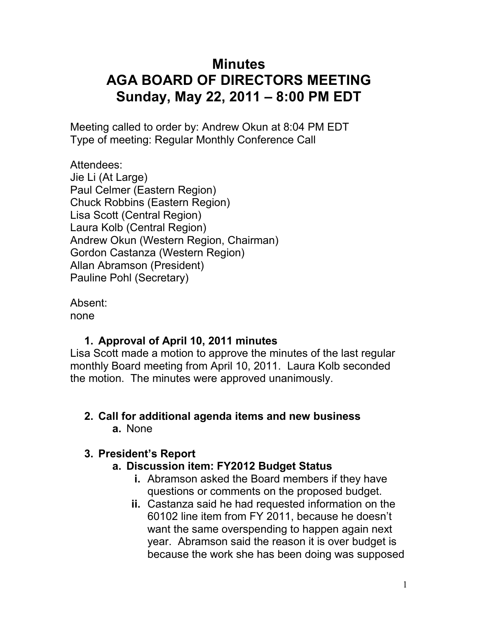# **Minutes AGA BOARD OF DIRECTORS MEETING Sunday, May 22, 2011 – 8:00 PM EDT**

Meeting called to order by: Andrew Okun at 8:04 PM EDT Type of meeting: Regular Monthly Conference Call

Attendees: Jie Li (At Large) Paul Celmer (Eastern Region) Chuck Robbins (Eastern Region) Lisa Scott (Central Region) Laura Kolb (Central Region) Andrew Okun (Western Region, Chairman) Gordon Castanza (Western Region) Allan Abramson (President) Pauline Pohl (Secretary)

Absent: none

# **1. Approval of April 10, 2011 minutes**

Lisa Scott made a motion to approve the minutes of the last regular monthly Board meeting from April 10, 2011. Laura Kolb seconded the motion. The minutes were approved unanimously.

### **2. Call for additional agenda items and new business a.** None

### **3. President's Report**

### **a. Discussion item: FY2012 Budget Status**

- **i.** Abramson asked the Board members if they have questions or comments on the proposed budget.
- **ii.** Castanza said he had requested information on the 60102 line item from FY 2011, because he doesn't want the same overspending to happen again next year. Abramson said the reason it is over budget is because the work she has been doing was supposed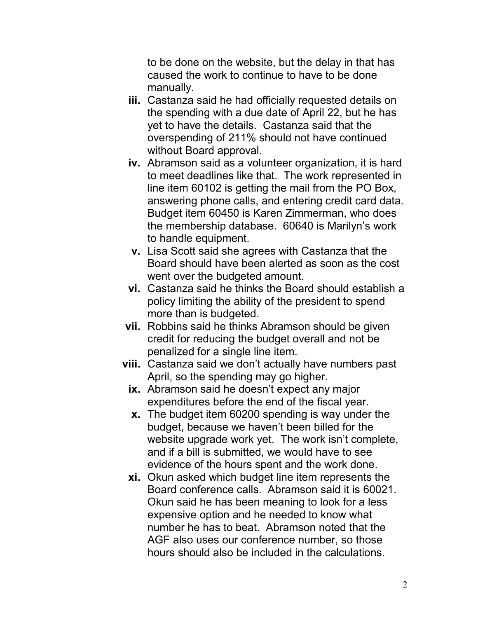to be done on the website, but the delay in that has caused the work to continue to have to be done manually.

- **iii.** Castanza said he had officially requested details on the spending with a due date of April 22, but he has yet to have the details. Castanza said that the overspending of 211% should not have continued without Board approval.
- **iv.** Abramson said as a volunteer organization, it is hard to meet deadlines like that. The work represented in line item 60102 is getting the mail from the PO Box, answering phone calls, and entering credit card data. Budget item 60450 is Karen Zimmerman, who does the membership database. 60640 is Marilyn's work to handle equipment.
- **v.** Lisa Scott said she agrees with Castanza that the Board should have been alerted as soon as the cost went over the budgeted amount.
- **vi.** Castanza said he thinks the Board should establish a policy limiting the ability of the president to spend more than is budgeted.
- **vii.** Robbins said he thinks Abramson should be given credit for reducing the budget overall and not be penalized for a single line item.
- **viii.** Castanza said we don't actually have numbers past April, so the spending may go higher.
	- **ix.** Abramson said he doesn't expect any major expenditures before the end of the fiscal year.
	- **x.** The budget item 60200 spending is way under the budget, because we haven't been billed for the website upgrade work yet. The work isn't complete, and if a bill is submitted, we would have to see evidence of the hours spent and the work done.
	- **xi.** Okun asked which budget line item represents the Board conference calls. Abramson said it is 60021. Okun said he has been meaning to look for a less expensive option and he needed to know what number he has to beat. Abramson noted that the AGF also uses our conference number, so those hours should also be included in the calculations.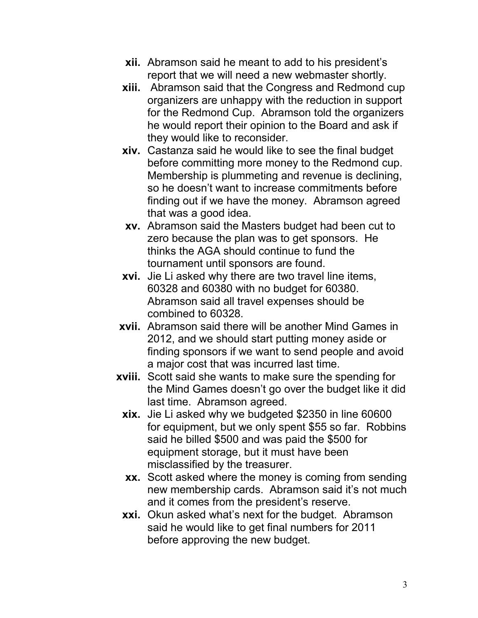- **xii.** Abramson said he meant to add to his president's report that we will need a new webmaster shortly.
- **xiii.** Abramson said that the Congress and Redmond cup organizers are unhappy with the reduction in support for the Redmond Cup. Abramson told the organizers he would report their opinion to the Board and ask if they would like to reconsider.
- **xiv.** Castanza said he would like to see the final budget before committing more money to the Redmond cup. Membership is plummeting and revenue is declining, so he doesn't want to increase commitments before finding out if we have the money. Abramson agreed that was a good idea.
- **xv.** Abramson said the Masters budget had been cut to zero because the plan was to get sponsors. He thinks the AGA should continue to fund the tournament until sponsors are found.
- **xvi.** Jie Li asked why there are two travel line items, 60328 and 60380 with no budget for 60380. Abramson said all travel expenses should be combined to 60328.
- **xvii.** Abramson said there will be another Mind Games in 2012, and we should start putting money aside or finding sponsors if we want to send people and avoid a major cost that was incurred last time.
- **xviii.** Scott said she wants to make sure the spending for the Mind Games doesn't go over the budget like it did last time. Abramson agreed.
	- **xix.** Jie Li asked why we budgeted \$2350 in line 60600 for equipment, but we only spent \$55 so far. Robbins said he billed \$500 and was paid the \$500 for equipment storage, but it must have been misclassified by the treasurer.
	- **xx.** Scott asked where the money is coming from sending new membership cards. Abramson said it's not much and it comes from the president's reserve.
	- **xxi.** Okun asked what's next for the budget. Abramson said he would like to get final numbers for 2011 before approving the new budget.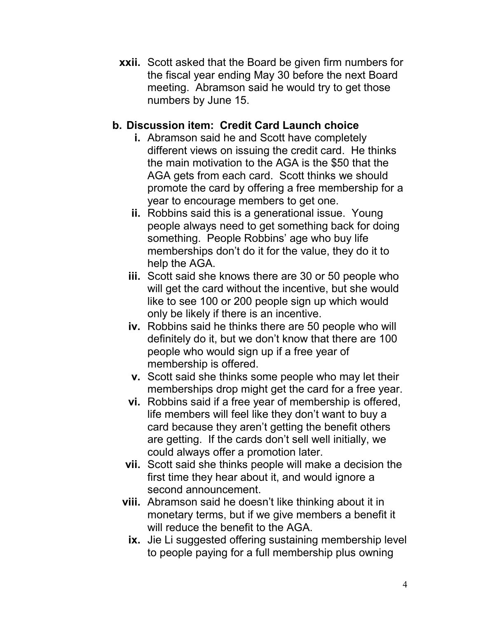**xxii.** Scott asked that the Board be given firm numbers for the fiscal year ending May 30 before the next Board meeting. Abramson said he would try to get those numbers by June 15.

### **b. Discussion item: Credit Card Launch choice**

- **i.** Abramson said he and Scott have completely different views on issuing the credit card. He thinks the main motivation to the AGA is the \$50 that the AGA gets from each card. Scott thinks we should promote the card by offering a free membership for a year to encourage members to get one.
- **ii.** Robbins said this is a generational issue. Young people always need to get something back for doing something. People Robbins' age who buy life memberships don't do it for the value, they do it to help the AGA.
- **iii.** Scott said she knows there are 30 or 50 people who will get the card without the incentive, but she would like to see 100 or 200 people sign up which would only be likely if there is an incentive.
- **iv.** Robbins said he thinks there are 50 people who will definitely do it, but we don't know that there are 100 people who would sign up if a free year of membership is offered.
- **v.** Scott said she thinks some people who may let their memberships drop might get the card for a free year.
- **vi.** Robbins said if a free year of membership is offered, life members will feel like they don't want to buy a card because they aren't getting the benefit others are getting. If the cards don't sell well initially, we could always offer a promotion later.
- **vii.** Scott said she thinks people will make a decision the first time they hear about it, and would ignore a second announcement.
- **viii.** Abramson said he doesn't like thinking about it in monetary terms, but if we give members a benefit it will reduce the benefit to the AGA.
	- **ix.** Jie Li suggested offering sustaining membership level to people paying for a full membership plus owning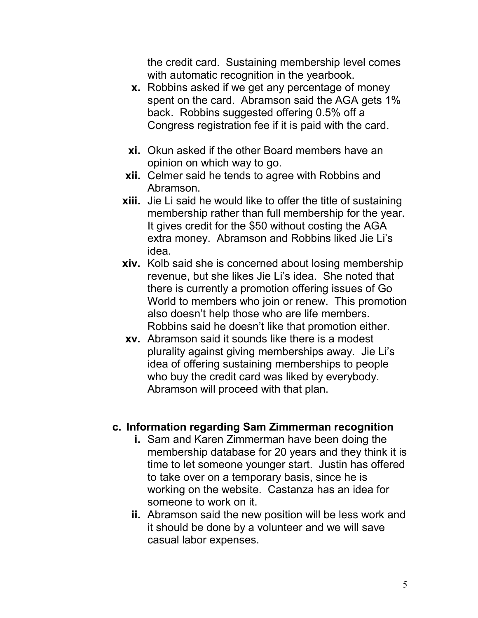the credit card. Sustaining membership level comes with automatic recognition in the yearbook.

- **x.** Robbins asked if we get any percentage of money spent on the card. Abramson said the AGA gets 1% back. Robbins suggested offering 0.5% off a Congress registration fee if it is paid with the card.
- **xi.** Okun asked if the other Board members have an opinion on which way to go.
- **xii.** Celmer said he tends to agree with Robbins and Abramson.
- **xiii.** Jie Li said he would like to offer the title of sustaining membership rather than full membership for the year. It gives credit for the \$50 without costing the AGA extra money. Abramson and Robbins liked Jie Li's idea.
- **xiv.** Kolb said she is concerned about losing membership revenue, but she likes Jie Li's idea. She noted that there is currently a promotion offering issues of Go World to members who join or renew. This promotion also doesn't help those who are life members. Robbins said he doesn't like that promotion either.
- **xv.** Abramson said it sounds like there is a modest plurality against giving memberships away. Jie Li's idea of offering sustaining memberships to people who buy the credit card was liked by everybody. Abramson will proceed with that plan.

#### **c. Information regarding Sam Zimmerman recognition**

- **i.** Sam and Karen Zimmerman have been doing the membership database for 20 years and they think it is time to let someone younger start. Justin has offered to take over on a temporary basis, since he is working on the website. Castanza has an idea for someone to work on it.
- **ii.** Abramson said the new position will be less work and it should be done by a volunteer and we will save casual labor expenses.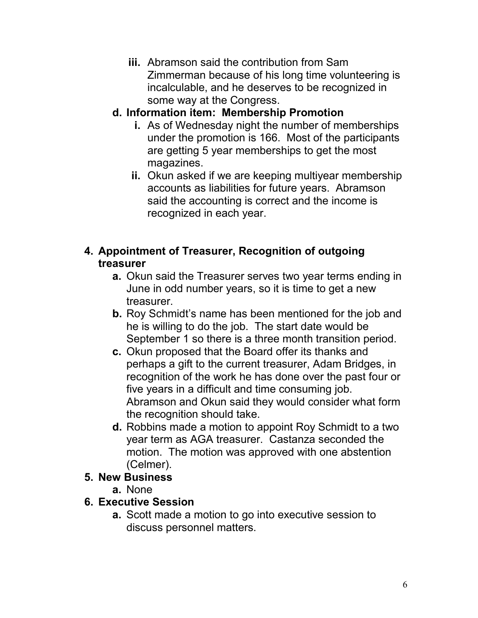**iii.** Abramson said the contribution from Sam Zimmerman because of his long time volunteering is incalculable, and he deserves to be recognized in some way at the Congress.

# **d. Information item: Membership Promotion**

- **i.** As of Wednesday night the number of memberships under the promotion is 166. Most of the participants are getting 5 year memberships to get the most magazines.
- **ii.** Okun asked if we are keeping multiyear membership accounts as liabilities for future years. Abramson said the accounting is correct and the income is recognized in each year.

### **4. Appointment of Treasurer, Recognition of outgoing treasurer**

- **a.** Okun said the Treasurer serves two year terms ending in June in odd number years, so it is time to get a new treasurer.
- **b.** Roy Schmidt's name has been mentioned for the job and he is willing to do the job. The start date would be September 1 so there is a three month transition period.
- **c.** Okun proposed that the Board offer its thanks and perhaps a gift to the current treasurer, Adam Bridges, in recognition of the work he has done over the past four or five years in a difficult and time consuming job. Abramson and Okun said they would consider what form the recognition should take.
- **d.** Robbins made a motion to appoint Roy Schmidt to a two year term as AGA treasurer. Castanza seconded the motion. The motion was approved with one abstention (Celmer).

#### **5. New Business**

**a.** None

### **6. Executive Session**

**a.** Scott made a motion to go into executive session to discuss personnel matters.